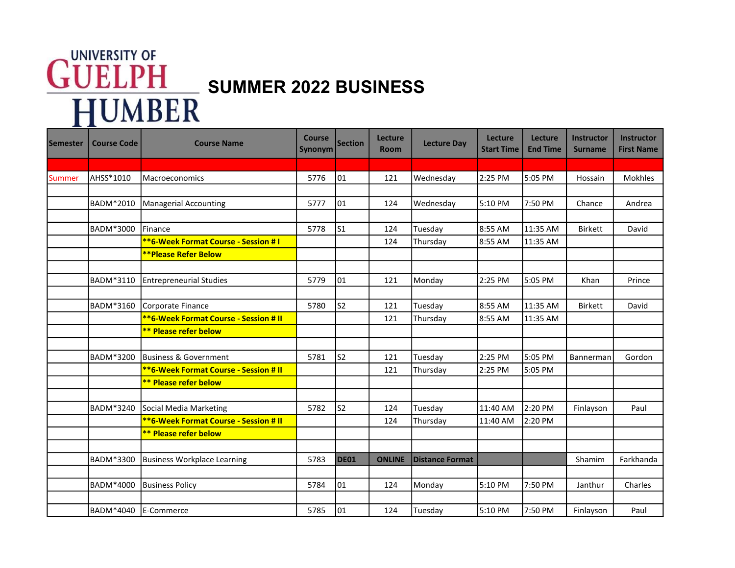## **GUELPH** SUMMER 2022 BUSINESS **HUMBER**

| Semester | <b>Course Code</b> | <b>Course Name</b>                                              | <b>Course</b><br>Synonym | <b>Section</b>  | <b>Lecture</b><br><b>Room</b> | <b>Lecture Day</b>     | Lecture<br><b>Start Time</b> | <b>Lecture</b><br><b>End Time</b> | <b>Instructor</b><br><b>Surname</b> | <b>Instructor</b><br><b>First Name</b> |
|----------|--------------------|-----------------------------------------------------------------|--------------------------|-----------------|-------------------------------|------------------------|------------------------------|-----------------------------------|-------------------------------------|----------------------------------------|
|          |                    |                                                                 |                          |                 |                               |                        |                              |                                   |                                     |                                        |
| Summer   | AHSS*1010          | <b>Macroeconomics</b>                                           | 5776                     | 01              | 121                           | Wednesday              | 2:25 PM                      | 5:05 PM                           | Hossain                             | Mokhles                                |
|          |                    |                                                                 |                          |                 |                               |                        |                              |                                   |                                     |                                        |
|          | <b>BADM*2010</b>   | Managerial Accounting                                           | 5777                     | 01              | 124                           | Wednesday              | 5:10 PM                      | 7:50 PM                           | Chance                              | Andrea                                 |
|          |                    |                                                                 |                          |                 |                               |                        |                              |                                   |                                     |                                        |
|          | <b>BADM*3000</b>   | <b>IFinance</b>                                                 | 5778                     | $\mathsf{I}$ s1 | 124                           | Tuesday                | 8:55 AM                      | 11:35 AM                          | <b>Birkett</b>                      | David                                  |
|          |                    | <b>**6-Week Format Course - Session #1</b>                      |                          |                 | 124                           | Thursday               | 8:55 AM                      | 11:35 AM                          |                                     |                                        |
|          |                    | <b>**Please Refer Below</b>                                     |                          |                 |                               |                        |                              |                                   |                                     |                                        |
|          |                    |                                                                 |                          |                 |                               |                        |                              |                                   |                                     |                                        |
|          | BADM*3110          | <b>Entrepreneurial Studies</b>                                  | 5779                     | 01              | 121                           | Monday                 | 2:25 PM                      | 5:05 PM                           | Khan                                | Prince                                 |
|          |                    |                                                                 |                          |                 |                               |                        |                              |                                   |                                     |                                        |
|          | BADM*3160          | Corporate Finance                                               | 5780                     | S <sub>2</sub>  | 121                           | Tuesday                | 8:55 AM                      | 11:35 AM                          | <b>Birkett</b>                      | David                                  |
|          |                    | <b>**6-Week Format Course - Session # II</b>                    |                          |                 | 121                           | Thursday               | 8:55 AM                      | 11:35 AM                          |                                     |                                        |
|          |                    | <b>** Please refer below</b>                                    |                          |                 |                               |                        |                              |                                   |                                     |                                        |
|          |                    |                                                                 |                          |                 |                               |                        |                              |                                   |                                     |                                        |
|          | <b>BADM*3200</b>   | Business & Government                                           | 5781                     | S <sub>2</sub>  | 121                           | Tuesday                | 2:25 PM                      | 5:05 PM                           | Bannerman                           | Gordon                                 |
|          |                    | <b>**6-Week Format Course - Session # II</b>                    |                          |                 | 121                           | Thursday               | 2:25 PM                      | 5:05 PM                           |                                     |                                        |
|          |                    | <b>** Please refer below</b>                                    |                          |                 |                               |                        |                              |                                   |                                     |                                        |
|          | <b>BADM*3240</b>   |                                                                 | 5782                     | ls2             |                               |                        | 11:40 AM                     | 2:20 PM                           |                                     |                                        |
|          |                    | Social Media Marketing<br>**6-Week Format Course - Session # II |                          |                 | 124                           | Tuesday                |                              |                                   | Finlayson                           | Paul                                   |
|          |                    | <b>** Please refer below</b>                                    |                          |                 | 124                           | Thursday               | 11:40 AM                     | 2:20 PM                           |                                     |                                        |
|          |                    |                                                                 |                          |                 |                               |                        |                              |                                   |                                     |                                        |
|          | BADM*3300          | <b>Business Workplace Learning</b>                              | 5783                     | DE01            | <b>ONLINE</b>                 | <b>Distance Format</b> |                              |                                   | Shamim                              | Farkhanda                              |
|          |                    |                                                                 |                          |                 |                               |                        |                              |                                   |                                     |                                        |
|          | <b>BADM*4000</b>   | <b>Business Policy</b>                                          | 5784                     | 01              | 124                           | Monday                 | 5:10 PM                      | 7:50 PM                           | Janthur                             | Charles                                |
|          |                    |                                                                 |                          |                 |                               |                        |                              |                                   |                                     |                                        |
|          | BADM*4040          | <b>IE-Commerce</b>                                              | 5785                     | 01              | 124                           | Tuesday                | 5:10 PM                      | 7:50 PM                           | Finlayson                           | Paul                                   |